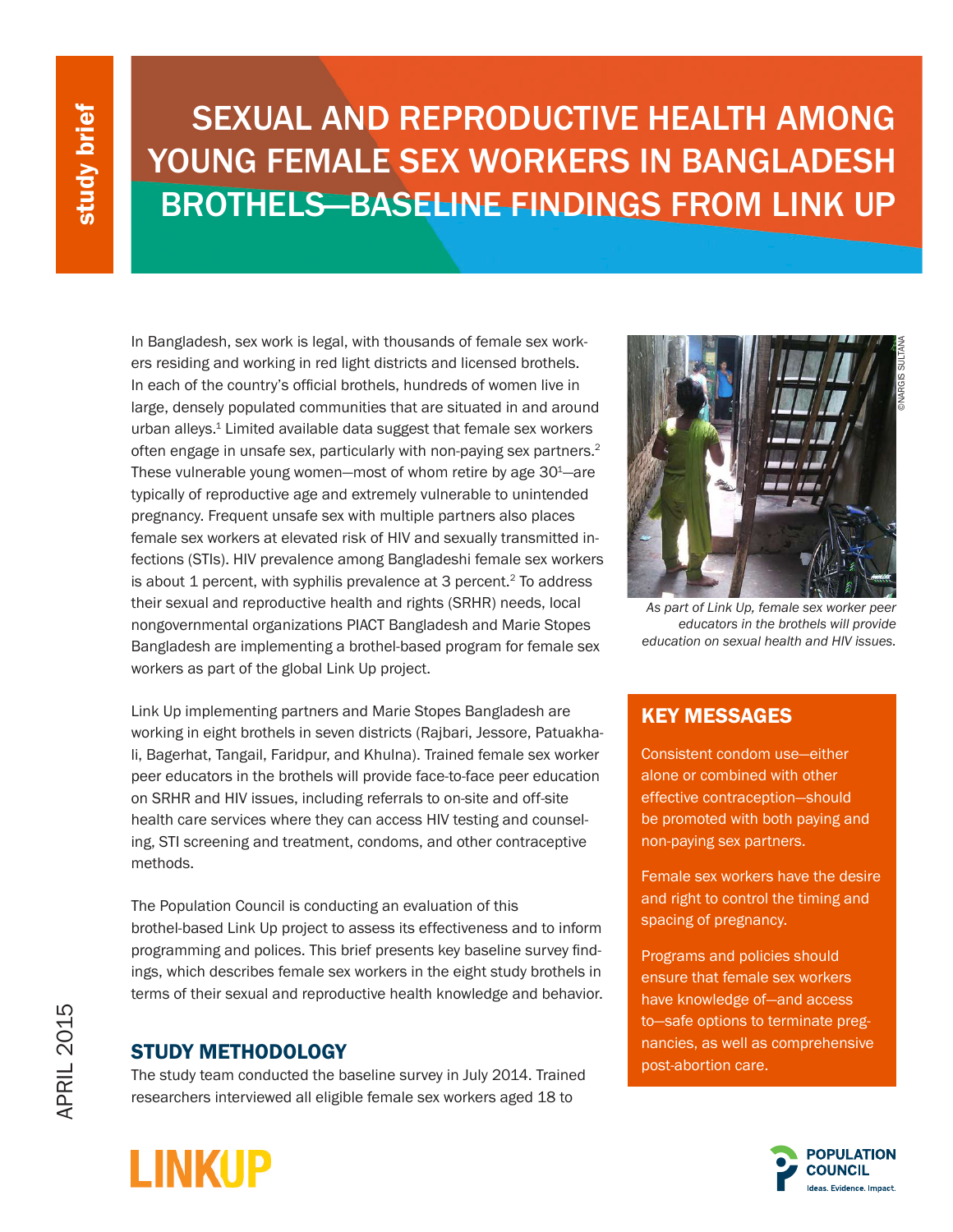# SEXUAL AND REPRODUCTIVE HEALTH AMONG YOUNG FEMALE SEX WORKERS IN BANGLADESH BROTHELS—BASELINE FINDINGS FROM LINK UP

In Bangladesh, sex work is legal, with thousands of female sex workers residing and working in red light districts and licensed brothels. In each of the country's official brothels, hundreds of women live in large, densely populated communities that are situated in and around urban alleys.<sup>1</sup> Limited available data suggest that female sex workers often engage in unsafe sex, particularly with non-paying sex partners.2 These vulnerable young women—most of whom retire by age  $30<sup>1</sup>$ —are typically of reproductive age and extremely vulnerable to unintended pregnancy. Frequent unsafe sex with multiple partners also places female sex workers at elevated risk of HIV and sexually transmitted infections (STIs). HIV prevalence among Bangladeshi female sex workers is about 1 percent, with syphilis prevalence at 3 percent.<sup>2</sup> To address their sexual and reproductive health and rights (SRHR) needs, local nongovernmental organizations PIACT Bangladesh and Marie Stopes Bangladesh are implementing a brothel-based program for female sex workers as part of the global Link Up project.

Link Up implementing partners and Marie Stopes Bangladesh are working in eight brothels in seven districts (Rajbari, Jessore, Patuakhali, Bagerhat, Tangail, Faridpur, and Khulna). Trained female sex worker peer educators in the brothels will provide face-to-face peer education on SRHR and HIV issues, including referrals to on-site and off-site health care services where they can access HIV testing and counseling, STI screening and treatment, condoms, and other contraceptive methods.

The Population Council is conducting an evaluation of this brothel-based Link Up project to assess its effectiveness and to inform programming and polices. This brief presents key baseline survey findings, which describes female sex workers in the eight study brothels in terms of their sexual and reproductive health knowledge and behavior.

## STUDY METHODOLOGY

**LINKUP** 

The study team conducted the baseline survey in July 2014. Trained researchers interviewed all eligible female sex workers aged 18 to



*As part of Link Up, female sex worker peer educators in the brothels will provide education on sexual health and HIV issues.*

## KEY MESSAGES

Consistent condom use—either alone or combined with other effective contraception—should be promoted with both paying and non-paying sex partners.

Female sex workers have the desire and right to control the timing and spacing of pregnancy.

Programs and policies should ensure that female sex workers have knowledge of—and access to—safe options to terminate pregnancies, as well as comprehensive post-abortion care.

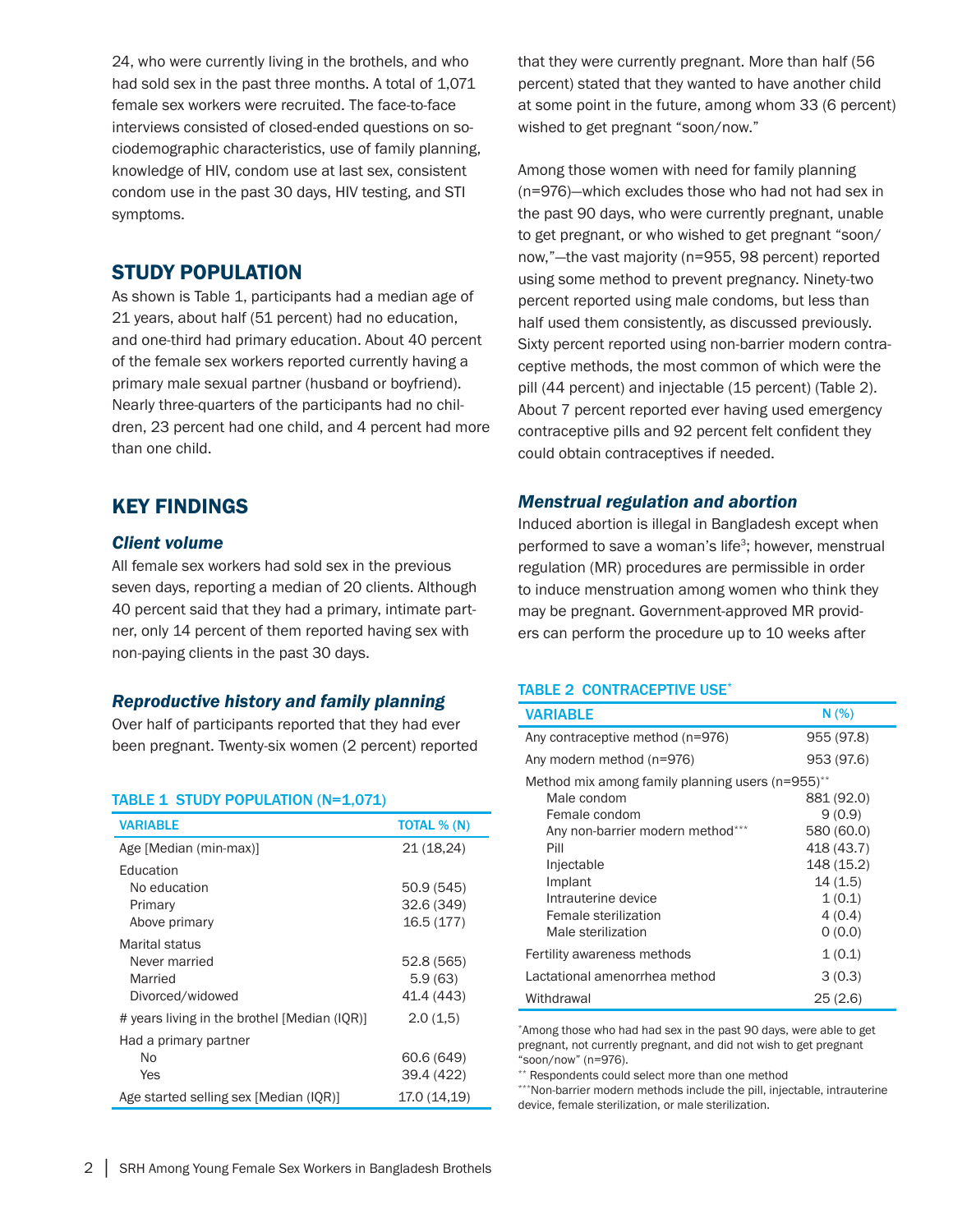24, who were currently living in the brothels, and who had sold sex in the past three months. A total of 1,071 female sex workers were recruited. The face-to-face interviews consisted of closed-ended questions on sociodemographic characteristics, use of family planning, knowledge of HIV, condom use at last sex, consistent condom use in the past 30 days, HIV testing, and STI symptoms.

## STUDY POPULATION

As shown is Table 1, participants had a median age of 21 years, about half (51 percent) had no education, and one-third had primary education. About 40 percent of the female sex workers reported currently having a primary male sexual partner (husband or boyfriend). Nearly three-quarters of the participants had no children, 23 percent had one child, and 4 percent had more than one child.

## KEY FINDINGS

#### *Client volume*

All female sex workers had sold sex in the previous seven days, reporting a median of 20 clients. Although 40 percent said that they had a primary, intimate partner, only 14 percent of them reported having sex with non-paying clients in the past 30 days.

### *Reproductive history and family planning*

Over half of participants reported that they had ever been pregnant. Twenty-six women (2 percent) reported

#### TABLE 1 STUDY POPULATION (N=1,071)

| <b>VARIABLE</b>                                                | <b>TOTAL % (N)</b>                   |
|----------------------------------------------------------------|--------------------------------------|
| Age [Median (min-max)]                                         | 21 (18.24)                           |
| Education<br>No education<br>Primary<br>Above primary          | 50.9(545)<br>32.6 (349)<br>16.5(177) |
| Marital status<br>Never married<br>Married<br>Divorced/widowed | 52.8(565)<br>5.9(63)<br>41.4 (443)   |
| # years living in the brothel [Median (IQR)]                   | 2.0(1.5)                             |
| Had a primary partner<br>No<br>Yes                             | 60.6 (649)<br>39.4 (422)             |
| Age started selling sex [Median (IQR)]                         | 17.0 (14,19)                         |

that they were currently pregnant. More than half (56 percent) stated that they wanted to have another child at some point in the future, among whom 33 (6 percent) wished to get pregnant "soon/now."

Among those women with need for family planning (n=976)—which excludes those who had not had sex in the past 90 days, who were currently pregnant, unable to get pregnant, or who wished to get pregnant "soon/ now,"—the vast majority (n=955, 98 percent) reported using some method to prevent pregnancy. Ninety-two percent reported using male condoms, but less than half used them consistently, as discussed previously. Sixty percent reported using non-barrier modern contraceptive methods, the most common of which were the pill (44 percent) and injectable (15 percent) (Table 2). About 7 percent reported ever having used emergency contraceptive pills and 92 percent felt confident they could obtain contraceptives if needed.

#### *Menstrual regulation and abortion*

Induced abortion is illegal in Bangladesh except when performed to save a woman's life<sup>3</sup>; however, menstrual regulation (MR) procedures are permissible in order to induce menstruation among women who think they may be pregnant. Government-approved MR providers can perform the procedure up to 10 weeks after

#### TABLE 2 CONTRACEPTIVE USE\*

| <b>VARIABLE</b>                                                 | N(% )                    |
|-----------------------------------------------------------------|--------------------------|
| Any contraceptive method (n=976)                                | 955 (97.8)               |
| Any modern method (n=976)                                       | 953 (97.6)               |
| Method mix among family planning users (n=955)**<br>Male condom | 881 (92.0)               |
| Female condom                                                   | 9(0.9)                   |
| Any non-barrier modern method***<br>Pill                        | 580 (60.0)<br>418 (43.7) |
| Injectable                                                      | 148 (15.2)               |
| Implant<br>Intrauterine device                                  | 14(1.5)<br>1(0.1)        |
| Female sterilization                                            | 4(0.4)                   |
| Male sterilization                                              | 0(0.0)                   |
| Fertility awareness methods                                     | 1(0.1)                   |
| Lactational amenorrhea method                                   | 3(0.3)                   |
| Withdrawal                                                      | 25(2.6)                  |

\*Among those who had had sex in the past 90 days, were able to get pregnant, not currently pregnant, and did not wish to get pregnant "soon/now" (n=976).

\*\* Respondents could select more than one method

\*\*\*Non-barrier modern methods include the pill, injectable, intrauterine device, female sterilization, or male sterilization.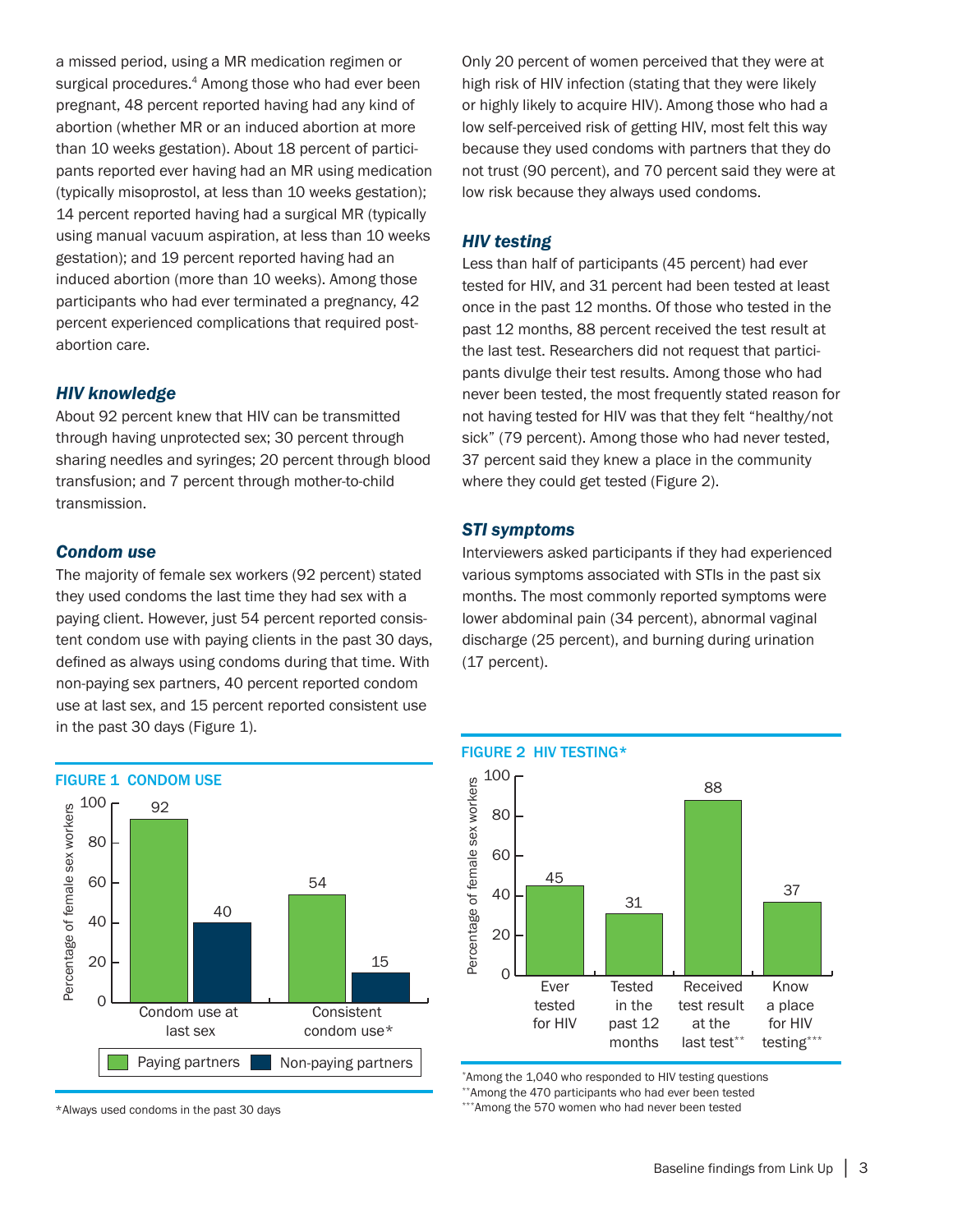a missed period, using a MR medication regimen or surgical procedures.<sup>4</sup> Among those who had ever been pregnant, 48 percent reported having had any kind of abortion (whether MR or an induced abortion at more than 10 weeks gestation). About 18 percent of participants reported ever having had an MR using medication (typically misoprostol, at less than 10 weeks gestation); 14 percent reported having had a surgical MR (typically using manual vacuum aspiration, at less than 10 weeks gestation); and 19 percent reported having had an induced abortion (more than 10 weeks). Among those participants who had ever terminated a pregnancy, 42 percent experienced complications that required postabortion care.

#### *HIV knowledge*

About 92 percent knew that HIV can be transmitted through having unprotected sex; 30 percent through sharing needles and syringes; 20 percent through blood transfusion; and 7 percent through mother-to-child transmission.

#### *Condom use*

The majority of female sex workers (92 percent) stated they used condoms the last time they had sex with a paying client. However, just 54 percent reported consistent condom use with paying clients in the past 30 days, defined as always using condoms during that time. With non-paying sex partners, 40 percent reported condom use at last sex, and 15 percent reported consistent use in the past 30 days (Figure 1).



\*Always used condoms in the past 30 days

Only 20 percent of women perceived that they were at high risk of HIV infection (stating that they were likely or highly likely to acquire HIV). Among those who had a low self-perceived risk of getting HIV, most felt this way because they used condoms with partners that they do not trust (90 percent), and 70 percent said they were at low risk because they always used condoms.

### *HIV testing*

Less than half of participants (45 percent) had ever tested for HIV, and 31 percent had been tested at least once in the past 12 months. Of those who tested in the past 12 months, 88 percent received the test result at the last test. Researchers did not request that participants divulge their test results. Among those who had never been tested, the most frequently stated reason for not having tested for HIV was that they felt "healthy/not sick" (79 percent). Among those who had never tested, 37 percent said they knew a place in the community where they could get tested (Figure 2).

### *STI symptoms*

Interviewers asked participants if they had experienced various symptoms associated with STIs in the past six months. The most commonly reported symptoms were lower abdominal pain (34 percent), abnormal vaginal discharge (25 percent), and burning during urination (17 percent).



\*Among the 1,040 who responded to HIV testing questions \*\*Among the 470 participants who had ever been tested \*\*\*Among the 570 women who had never been tested